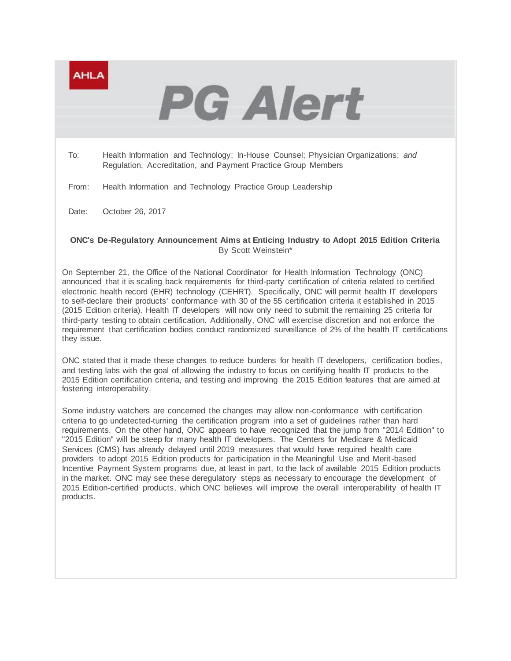

# **PG Alert**

To: Health Information and Technology; In-House Counsel; Physician Organizations; *and* Regulation, Accreditation, and Payment Practice Group Members

From: Health Information and Technology Practice Group Leadership

Date: October 26, 2017

# **ONC's De-Regulatory Announcement Aims at Enticing Industry to Adopt 2015 Edition Criteria** By Scott Weinstein\*

On September 21, the Office of the National Coordinator for Health Information Technology (ONC) announced that it is scaling back requirements for third-party certification of criteria related to certified electronic health record (EHR) technology (CEHRT). Specifically, ONC will permit health IT developers to self-declare their products' conformance with 30 of the 55 certification criteria it established in 2015 (2015 Edition criteria). Health IT developers will now only need to submit the remaining 25 criteria for third-party testing to obtain certification. Additionally, ONC will exercise discretion and not enforce the requirement that certification bodies conduct randomized surveillance of 2% of the health IT certifications they issue.

ONC stated that it made these changes to reduce burdens for health IT developers, certification bodies, and testing labs with the goal of allowing the industry to focus on certifying health IT products to the 2015 Edition certification criteria, and testing and improving the 2015 Edition features that are aimed at fostering interoperability.

Some industry watchers are concerned the changes may allow non-conformance with certification criteria to go undetected-turning the certification program into a set of guidelines rather than hard requirements. On the other hand, ONC appears to have recognized that the jump from "2014 Edition" to "2015 Edition" will be steep for many health IT developers. The Centers for Medicare & Medicaid Services (CMS) has already delayed until 2019 measures that would have required health care providers to adopt 2015 Edition products for participation in the Meaningful Use and Merit-based Incentive Payment System programs due, at least in part, to the lack of available 2015 Edition products in the market. ONC may see these deregulatory steps as necessary to encourage the development of 2015 Edition-certified products, which ONC believes will improve the overall interoperability of health IT products.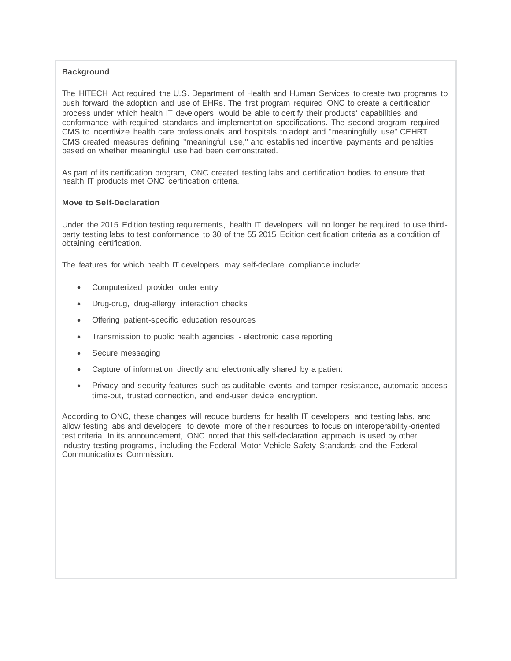# **Background**

The HITECH Act required the U.S. Department of Health and Human Services to create two programs to push forward the adoption and use of EHRs. The first program required ONC to create a certification process under which health IT developers would be able to certify their products' capabilities and conformance with required standards and implementation specifications. The second program required CMS to incentivize health care professionals and hospitals to adopt and "meaningfully use" CEHRT. CMS created measures defining "meaningful use," and established incentive payments and penalties based on whether meaningful use had been demonstrated.

As part of its certification program, ONC created testing labs and certification bodies to ensure that health IT products met ONC certification criteria.

## **Move to Self-Declaration**

Under the 2015 Edition testing requirements, health IT developers will no longer be required to use thirdparty testing labs to test conformance to 30 of the 55 2015 Edition certification criteria as a condition of obtaining certification.

The features for which health IT developers may self-declare compliance include:

- Computerized provider order entry
- Drug-drug, drug-allergy interaction checks
- Offering patient-specific education resources
- Transmission to public health agencies electronic case reporting
- Secure messaging
- Capture of information directly and electronically shared by a patient
- Privacy and security features such as auditable events and tamper resistance, automatic access time-out, trusted connection, and end-user device encryption.

According to ONC, these changes will reduce burdens for health IT developers and testing labs, and allow testing labs and developers to devote more of their resources to focus on interoperability-oriented test criteria. In its announcement, ONC noted that this self-declaration approach is used by other industry testing programs, including the Federal Motor Vehicle Safety Standards and the Federal Communications Commission.